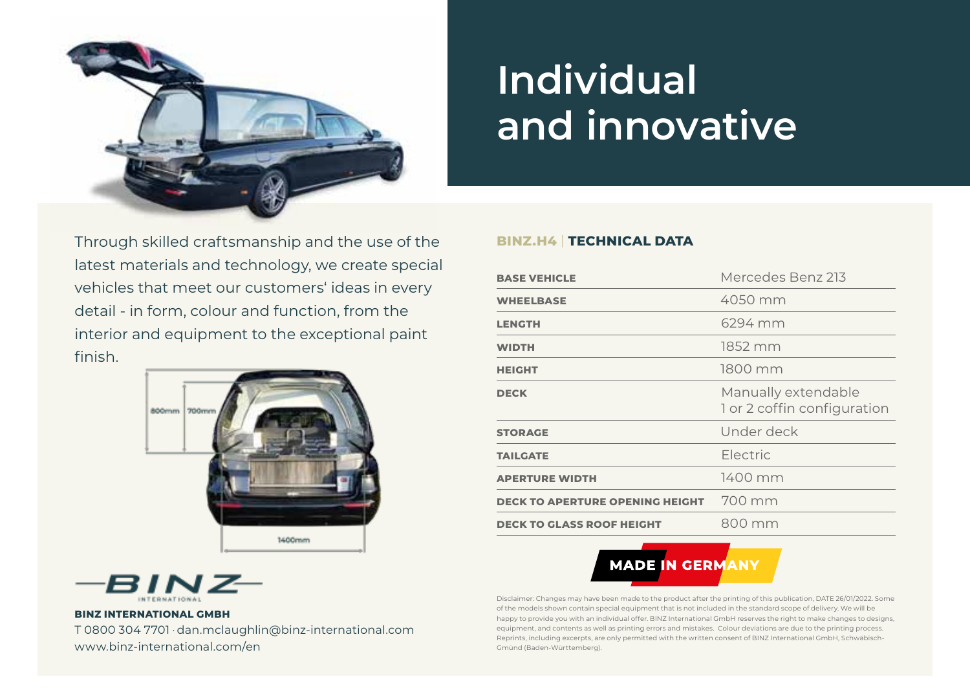

# **Individual and innovative**

Through skilled craftsmanship and the use of the latest materials and technology, we create special vehicles that meet our customers' ideas in every detail - in form, colour and function, from the interior and equipment to the exceptional paint finish.



### **BINZ.H4** | **TECHNICAL DATA**

| <b>BASE VEHICLE</b>                    | Mercedes Benz 213                                  |
|----------------------------------------|----------------------------------------------------|
| <b>WHEELBASE</b>                       | 4050 mm                                            |
| <b>LENGTH</b>                          | 6294 mm                                            |
| <b>WIDTH</b>                           | 1852 mm                                            |
| <b>HEIGHT</b>                          | 1800 mm                                            |
| <b>DECK</b>                            | Manually extendable<br>1 or 2 coffin configuration |
| <b>STORAGE</b>                         | Under deck                                         |
| <b>TAILGATE</b>                        | Electric                                           |
| <b>APERTURE WIDTH</b>                  | $1400$ mm                                          |
| <b>DECK TO APERTURE OPENING HEIGHT</b> | 700 mm                                             |
| <b>DECK TO GLASS ROOF HEIGHT</b>       | 800 mm                                             |
|                                        |                                                    |



Disclaimer: Changes may have been made to the product after the printing of this publication, DATE 26/01/2022. Some of the models shown contain special equipment that is not included in the standard scope of delivery. We will be happy to provide you with an individual offer. BINZ International GmbH reserves the right to make changes to designs, equipment, and contents as well as printing errors and mistakes. Colour deviations are due to the printing process. Reprints, including excerpts, are only permitted with the written consent of BINZ International GmbH, Schwäbisch-Gmünd (Baden-Württemberg).



#### **BINZ INTERNATIONAL GMBH**

T 0800 304 7701 · dan.mclaughlin@binz-international.com www.binz-international.com/en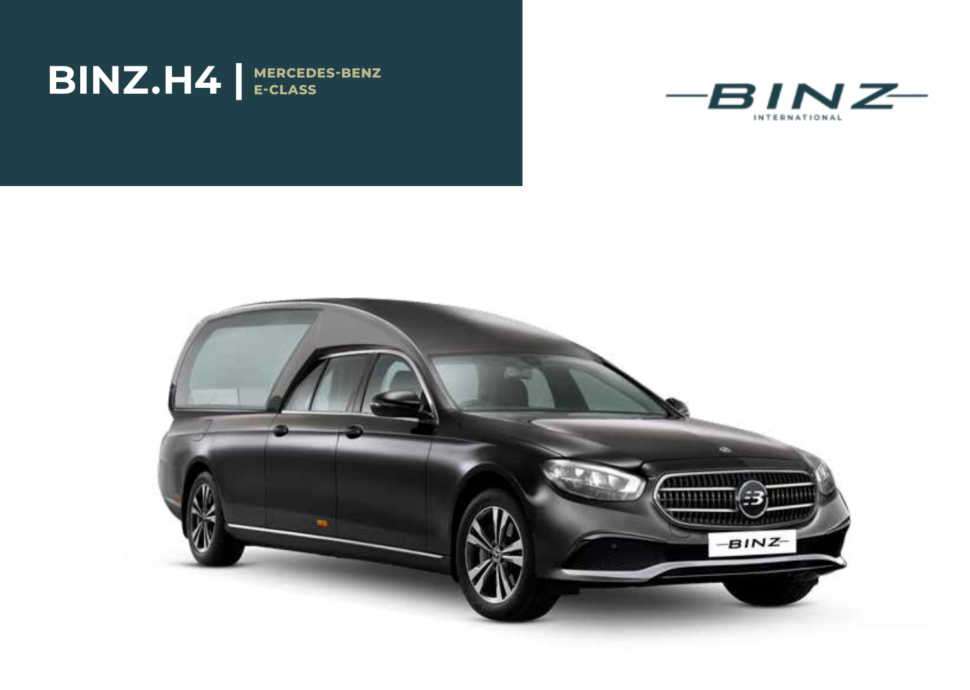



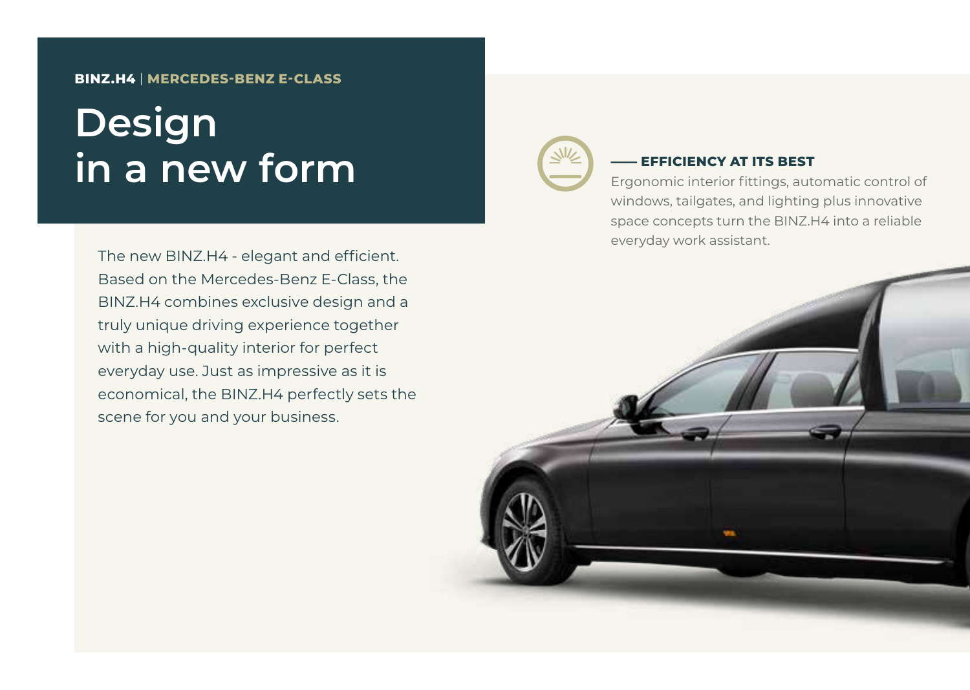### **BINZ.H4** | **MERCEDES-BENZ E-CLASS**

## **Design in a new form**

The new BINZ.H4 - elegant and efficient. Based on the Mercedes-Benz E-Class, the BINZ.H4 combines exclusive design and a truly unique driving experience together with a high-quality interior for perfect everyday use. Just as impressive as it is economical, the BINZ.H4 perfectly sets the scene for you and your business.



### **EFFICIENCY AT ITS BEST**

Ergonomic interior fittings, automatic control of windows, tailgates, and lighting plus innovative space concepts turn the BINZ.H4 into a reliable everyday work assistant.